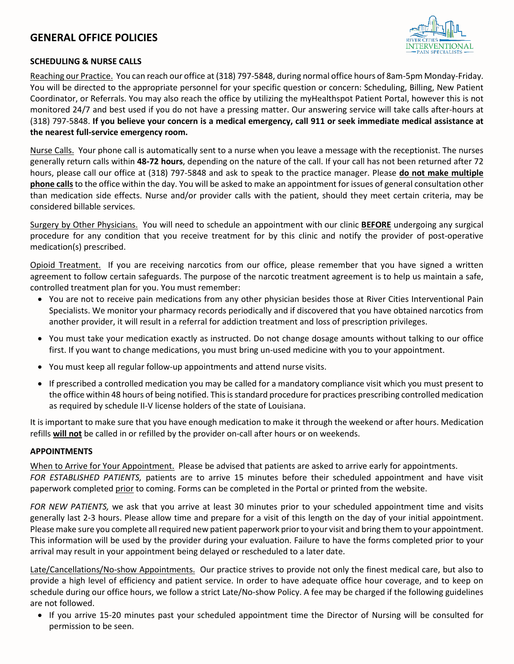# **GENERAL OFFICE POLICIES**



#### **SCHEDULING & NURSE CALLS**

Reaching our Practice. You can reach our office at (318) 797-5848, during normal office hours of 8am-5pm Monday-Friday. You will be directed to the appropriate personnel for your specific question or concern: Scheduling, Billing, New Patient Coordinator, or Referrals. You may also reach the office by utilizing the myHealthspot Patient Portal, however this is not monitored 24/7 and best used if you do not have a pressing matter. Our answering service will take calls after-hours at (318) 797-5848. **If you believe your concern is a medical emergency, call 911 or seek immediate medical assistance at the nearest full-service emergency room.**

Nurse Calls. Your phone call is automatically sent to a nurse when you leave a message with the receptionist. The nurses generally return calls within **48-72 hours**, depending on the nature of the call. If your call has not been returned after 72 hours, please call our office at (318) 797-5848 and ask to speak to the practice manager. Please **do not make multiple phone calls**to the office within the day. You will be asked to make an appointment for issues of general consultation other than medication side effects. Nurse and/or provider calls with the patient, should they meet certain criteria, may be considered billable services.

Surgery by Other Physicians. You will need to schedule an appointment with our clinic **BEFORE** undergoing any surgical procedure for any condition that you receive treatment for by this clinic and notify the provider of post-operative medication(s) prescribed.

Opioid Treatment. If you are receiving narcotics from our office, please remember that you have signed a written agreement to follow certain safeguards. The purpose of the narcotic treatment agreement is to help us maintain a safe, controlled treatment plan for you. You must remember:

- You are not to receive pain medications from any other physician besides those at River Cities Interventional Pain Specialists. We monitor your pharmacy records periodically and if discovered that you have obtained narcotics from another provider, it will result in a referral for addiction treatment and loss of prescription privileges.
- You must take your medication exactly as instructed. Do not change dosage amounts without talking to our office first. If you want to change medications, you must bring un-used medicine with you to your appointment.
- You must keep all regular follow-up appointments and attend nurse visits.
- If prescribed a controlled medication you may be called for a mandatory compliance visit which you must present to the office within 48 hours of being notified. This is standard procedure for practices prescribing controlled medication as required by schedule II-V license holders of the state of Louisiana.

It is important to make sure that you have enough medication to make it through the weekend or after hours. Medication refills **will not** be called in or refilled by the provider on-call after hours or on weekends.

#### **APPOINTMENTS**

When to Arrive for Your Appointment. Please be advised that patients are asked to arrive early for appointments.

*FOR ESTABLISHED PATIENTS,* patients are to arrive 15 minutes before their scheduled appointment and have visit paperwork completed prior to coming. Forms can be completed in the Portal or printed from the website.

*FOR NEW PATIENTS,* we ask that you arrive at least 30 minutes prior to your scheduled appointment time and visits generally last 2-3 hours. Please allow time and prepare for a visit of this length on the day of your initial appointment. Please make sure you complete all required new patient paperwork prior to your visit and bring them to your appointment. This information will be used by the provider during your evaluation. Failure to have the forms completed prior to your arrival may result in your appointment being delayed or rescheduled to a later date.

Late/Cancellations/No-show Appointments. Our practice strives to provide not only the finest medical care, but also to provide a high level of efficiency and patient service. In order to have adequate office hour coverage, and to keep on schedule during our office hours, we follow a strict Late/No-show Policy. A fee may be charged if the following guidelines are not followed.

• If you arrive 15-20 minutes past your scheduled appointment time the Director of Nursing will be consulted for permission to be seen.